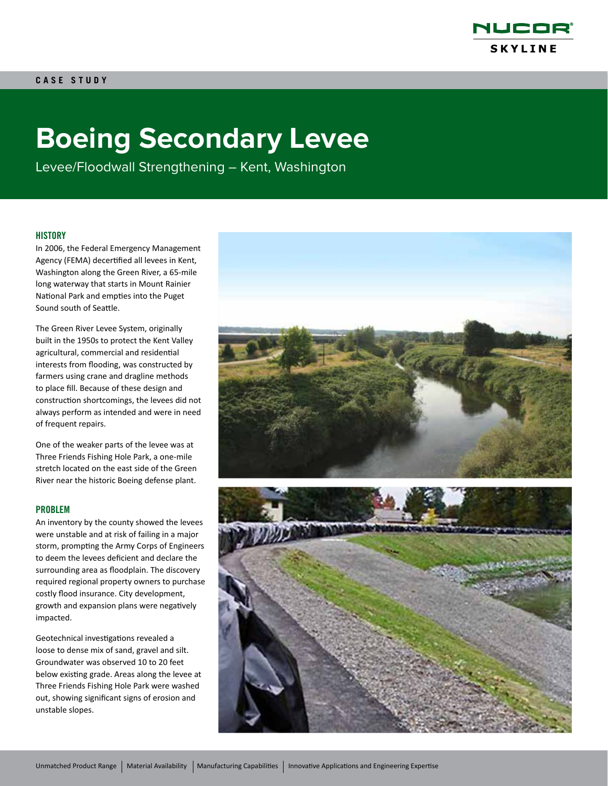

# **Boeing Secondary Levee**

Levee/Floodwall Strengthening – Kent, Washington

#### **HISTORY**

In 2006, the Federal Emergency Management Agency (FEMA) decertified all levees in Kent, Washington along the Green River, a 65-mile long waterway that starts in Mount Rainier National Park and empties into the Puget Sound south of Seattle.

The Green River Levee System, originally built in the 1950s to protect the Kent Valley agricultural, commercial and residential interests from flooding, was constructed by farmers using crane and dragline methods to place fill. Because of these design and construction shortcomings, the levees did not always perform as intended and were in need of frequent repairs.

One of the weaker parts of the levee was at Three Friends Fishing Hole Park, a one-mile stretch located on the east side of the Green River near the historic Boeing defense plant.

#### PROBLEM

An inventory by the county showed the levees were unstable and at risk of failing in a major storm, prompting the Army Corps of Engineers to deem the levees deficient and declare the surrounding area as floodplain. The discovery required regional property owners to purchase costly flood insurance. City development, growth and expansion plans were negatively impacted.

Geotechnical investigations revealed a loose to dense mix of sand, gravel and silt. Groundwater was observed 10 to 20 feet below existing grade. Areas along the levee at Three Friends Fishing Hole Park were washed out, showing significant signs of erosion and unstable slopes.